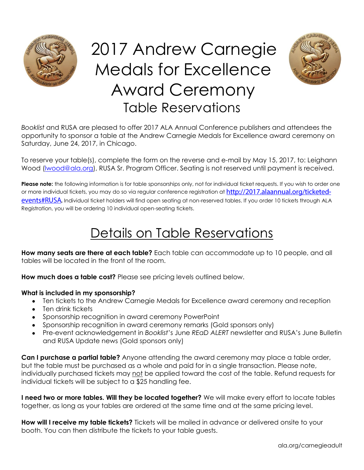

# 2017 Andrew Carnegie Medals for Excellence Award Ceremony Table Reservations



*Booklist* and RUSA are pleased to offer 2017 ALA Annual Conference publishers and attendees the opportunity to sponsor a table at the Andrew Carnegie Medals for Excellence award ceremony on Saturday, June 24, 2017, in Chicago.

To reserve your table(s), complete the form on the reverse and e-mail by May 15, 2017, to: Leighann Wood (Iwood@ala.org), RUSA Sr. Program Officer. Seating is not reserved until payment is received.

**Please note:** the following information is for table sponsorships only, not for individual ticket requests. If you wish to order one ormore individual tickets, you may do so via regular conference registration at http://2017.alaannual.org/ticketedevents#RUSA. Individual ticket holders will find open seating at non-reserved tables. If you order 10 tickets through ALA Registration, you will be ordering 10 individual open-seating tickets.

## Details on Table Reservations

**How many seats are there at each table?** Each table can accommodate up to 10 people, and all tables will be located in the front of the room.

**How much does a table cost?** Please see pricing levels outlined below.

#### **What is included in my sponsorship?**

- Ten tickets to the Andrew Carnegie Medals for Excellence award ceremony and reception
- Ten drink tickets
- Sponsorship recognition in award ceremony PowerPoint
- Sponsorship recognition in award ceremony remarks (Gold sponsors only)
- Pre-event acknowledgement in *Booklist*'s June *REaD ALERT* newsletter and RUSA's June Bulletin and RUSA Update news (Gold sponsors only)

**Can I purchase a partial table?** Anyone attending the award ceremony may place a table order, but the table must be purchased as a whole and paid for in a single transaction. Please note, individually purchased tickets may not be applied toward the cost of the table. Refund requests for individual tickets will be subject to a \$25 handling fee.

**I need two or more tables. Will they be located together?** We will make every effort to locate tables together, as long as your tables are ordered at the same time and at the same pricing level.

**How will I receive my table tickets?** Tickets will be mailed in advance or delivered onsite to your booth. You can then distribute the tickets to your table guests.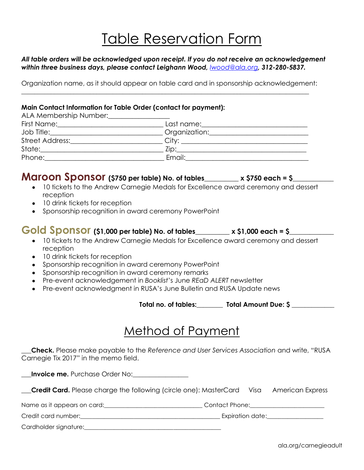## Table Reservation Form

#### *All table orders will be acknowledged upon receipt. If you do not receive an acknowledgement within three business days, please contact Leighann Wood, [lwood@ala.org](mailto:lwood@ala.org), 312-280-5837.*

Organization name, as it should appear on table card and in sponsorship acknowledgement:

\_\_\_\_\_\_\_\_\_\_\_\_\_\_\_\_\_\_\_\_\_\_\_\_\_\_\_\_\_\_\_\_\_\_\_\_\_\_\_\_\_\_\_\_\_\_\_\_\_\_\_\_\_\_\_\_\_\_\_\_\_\_\_\_\_\_\_\_\_\_\_\_\_\_\_\_\_\_\_\_\_\_\_\_\_\_\_\_

#### **Main Contact Information for Table Order (contact for payment):**

| ALA Membership Number:<br><u>Landon Mumber:</u>                                                                |               |
|----------------------------------------------------------------------------------------------------------------|---------------|
| First Name: 2008 2010 2010 2021 2022 2023 2024 2022 2022 2023 2024 2022 2023 2024 2022 2023 2024 2025 2026 202 | Last name:    |
| Job Title:                                                                                                     | Organization: |
| Street Address:_____________                                                                                   |               |
| State:                                                                                                         | $Z$ ip:       |
| Phone:                                                                                                         | Email:        |

### **Maroon Sponsor (\$750 per table) No. of tables\_\_\_\_\_\_\_\_\_\_ x \$750 each = \$\_\_\_\_\_\_\_\_\_\_\_\_**

- 10 tickets to the Andrew Carnegie Medals for Excellence award ceremony and dessert reception
- 10 drink tickets for reception
- Sponsorship recognition in award ceremony PowerPoint

#### **Gold Sponsor (\$1,000 per table) No. of tables\_\_\_\_\_\_\_\_\_\_ x \$1,000 each = \$\_\_\_\_\_\_\_\_\_\_\_\_\_**

- 10 tickets to the Andrew Carnegie Medals for Excellence award ceremony and dessert reception
- 10 drink tickets for reception
- Sponsorship recognition in award ceremony PowerPoint
- Sponsorship recognition in award ceremony remarks
- Pre-event acknowledgement in *Booklist*'s June *REaD ALERT* newsletter
- Pre-event acknowledgment in RUSA's June Bulletin and RUSA Update news

 **Total no. of tables:\_\_\_\_\_\_\_\_ Total Amount Due: \$ \_\_\_\_\_\_\_\_\_\_\_\_\_**

### Method of Payment

**\_\_\_Check.** Please make payable to the *Reference and User Services Association* and write, "RUSA Carnegie Tix 2017" in the memo field.

**Invoice me.** Purchase Order No:

**\_\_\_Credit Card.** Please charge the following (circle one): MasterCard Visa American Express

Name as it appears on card: Thomas Contact Phone:

Credit card number: etc. and the contract of the contract of the contract of the contract of the contract of the contract of the contract of the contract of the contract of the contract of the contract of the contract of t

Cardholder signature:\_\_\_\_\_\_\_\_\_\_\_\_\_\_\_\_\_\_\_\_\_\_\_\_\_\_\_\_\_\_\_\_\_\_\_\_\_\_\_\_\_\_\_\_\_\_

ala.org/carnegieadult